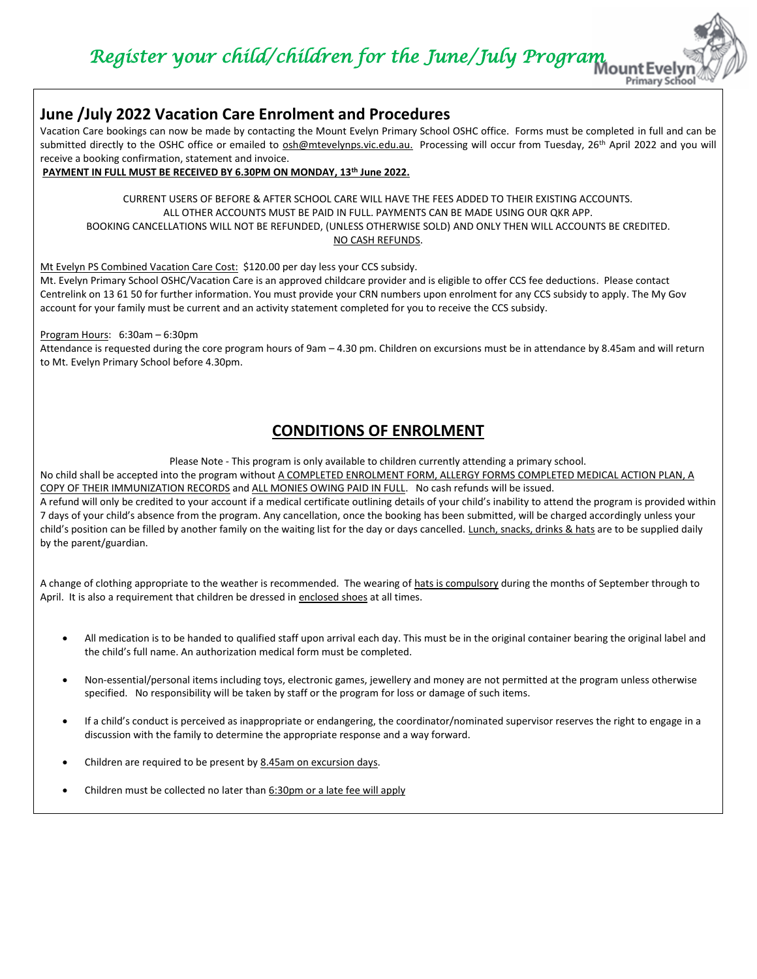*Register your child/children for the June/July Program* 

**Primary Scho** 

## **June /July 2022 Vacation Care Enrolment and Procedures**

Vacation Care bookings can now be made by contacting the Mount Evelyn Primary School OSHC office. Forms must be completed in full and can be submitted directly to the OSHC office or emailed to [osh@mtevelynps.vic.edu.au.](mailto:osh@mtevelynps.vic.edu.au) Processing will occur from Tuesday, 26<sup>th</sup> April 2022 and you will receive a booking confirmation, statement and invoice.

**PAYMENT IN FULL MUST BE RECEIVED BY 6.30PM ON MONDAY, 13th June 2022.**

CURRENT USERS OF BEFORE & AFTER SCHOOL CARE WILL HAVE THE FEES ADDED TO THEIR EXISTING ACCOUNTS. ALL OTHER ACCOUNTS MUST BE PAID IN FULL. PAYMENTS CAN BE MADE USING OUR QKR APP. BOOKING CANCELLATIONS WILL NOT BE REFUNDED, (UNLESS OTHERWISE SOLD) AND ONLY THEN WILL ACCOUNTS BE CREDITED. NO CASH REFUNDS.

Mt Evelyn PS Combined Vacation Care Cost: \$120.00 per day less your CCS subsidy.

Mt. Evelyn Primary School OSHC/Vacation Care is an approved childcare provider and is eligible to offer CCS fee deductions. Please contact Centrelink on 13 61 50 for further information. You must provide your CRN numbers upon enrolment for any CCS subsidy to apply. The My Gov account for your family must be current and an activity statement completed for you to receive the CCS subsidy.

Program Hours: 6:30am – 6:30pm

Attendance is requested during the core program hours of 9am – 4.30 pm. Children on excursions must be in attendance by 8.45am and will return to Mt. Evelyn Primary School before 4.30pm.

## **CONDITIONS OF ENROLMENT**

Please Note - This program is only available to children currently attending a primary school.

No child shall be accepted into the program without A COMPLETED ENROLMENT FORM, ALLERGY FORMS COMPLETED MEDICAL ACTION PLAN, A COPY OF THEIR IMMUNIZATION RECORDS and ALL MONIES OWING PAID IN FULL. No cash refunds will be issued.

A refund will only be credited to your account if a medical certificate outlining details of your child's inability to attend the program is provided within 7 days of your child's absence from the program. Any cancellation, once the booking has been submitted, will be charged accordingly unless your child's position can be filled by another family on the waiting list for the day or days cancelled. Lunch, snacks, drinks & hats are to be supplied daily by the parent/guardian.

A change of clothing appropriate to the weather is recommended. The wearing of hats is compulsory during the months of September through to April. It is also a requirement that children be dressed in enclosed shoes at all times.

- All medication is to be handed to qualified staff upon arrival each day. This must be in the original container bearing the original label and the child's full name. An authorization medical form must be completed.
- Non-essential/personal items including toys, electronic games, jewellery and money are not permitted at the program unless otherwise specified. No responsibility will be taken by staff or the program for loss or damage of such items.
- If a child's conduct is perceived as inappropriate or endangering, the coordinator/nominated supervisor reserves the right to engage in a discussion with the family to determine the appropriate response and a way forward.
- Children are required to be present by 8.45am on excursion days.
- Children must be collected no later than 6:30pm or a late fee will apply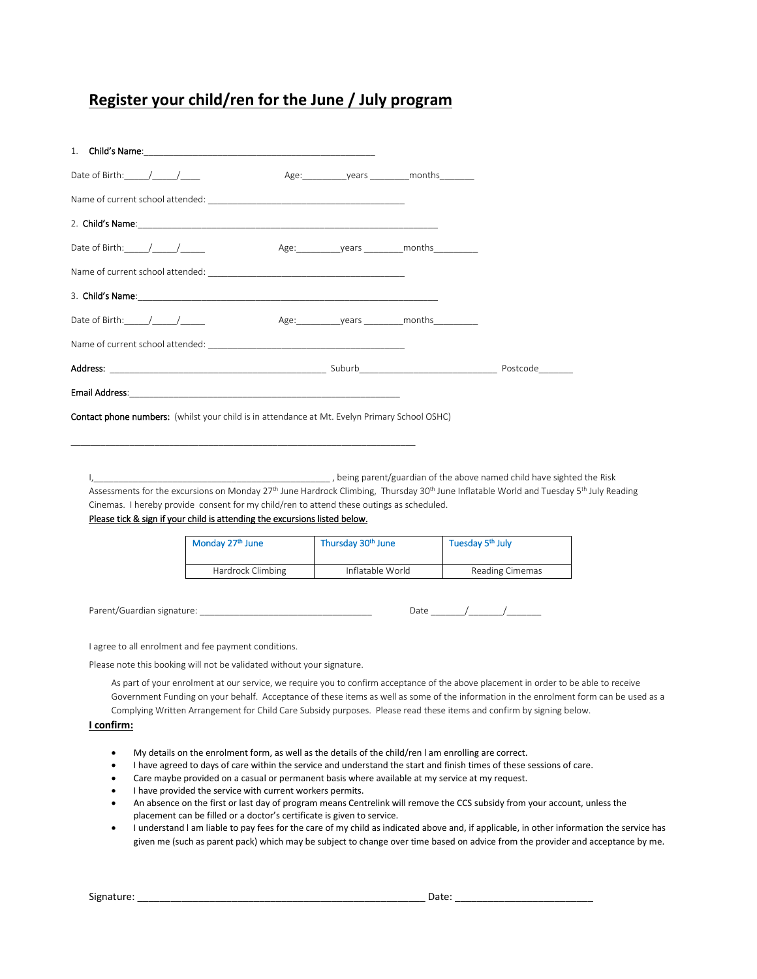## **Register your child/ren for the June / July program**

| Date of Birth: $/$ /                                                                                          |  |  |
|---------------------------------------------------------------------------------------------------------------|--|--|
|                                                                                                               |  |  |
|                                                                                                               |  |  |
| Email Address: North American Communication of the Communication of the Communication of the Communication of |  |  |
| <b>Contact phone numbers:</b> (whilst your child is in attendance at Mt. Evelyn Primary School OSHC)          |  |  |

I,\_\_\_\_\_\_\_\_\_\_\_\_\_\_\_\_\_\_\_\_\_\_\_\_\_\_\_\_\_\_\_\_\_\_\_\_\_\_\_\_\_\_\_\_\_\_\_\_ , being parent/guardian of the above named child have sighted the Risk Assessments for the excursions on Monday 27<sup>th</sup> June Hardrock Climbing, Thursday 30<sup>th</sup> June Inflatable World and Tuesday 5<sup>th</sup> July Reading Cinemas. I hereby provide consent for my child/ren to attend these outings as scheduled.

#### Please tick & sign if your child is attending the excursions listed below.

\_\_\_\_\_\_\_\_\_\_\_\_\_\_\_\_\_\_\_\_\_\_\_\_\_\_\_\_\_\_\_\_\_\_\_\_\_\_\_\_\_\_\_\_\_\_\_\_\_\_\_\_\_\_\_\_\_\_\_\_\_\_\_\_\_\_\_\_\_\_

| Monday 27th June  | Thursday 30th June | Tuesday 5 <sup>th</sup> July |
|-------------------|--------------------|------------------------------|
| Hardrock Climbing | Inflatable World   | Reading Cimemas              |

Parent/Guardian signature: \_\_\_\_\_\_\_\_\_\_\_\_\_\_\_\_\_\_\_\_\_\_\_\_\_\_\_\_\_\_\_\_\_\_\_ Date \_\_\_\_\_\_\_/\_\_\_\_\_\_\_/\_\_\_\_\_\_\_

| . Jate |  |  |
|--------|--|--|
|--------|--|--|

I agree to all enrolment and fee payment conditions.

Please note this booking will not be validated without your signature.

As part of your enrolment at our service, we require you to confirm acceptance of the above placement in order to be able to receive Government Funding on your behalf. Acceptance of these items as well as some of the information in the enrolment form can be used as a Complying Written Arrangement for Child Care Subsidy purposes. Please read these items and confirm by signing below.

#### **I confirm:**

- My details on the enrolment form, as well as the details of the child/ren l am enrolling are correct.
- I have agreed to days of care within the service and understand the start and finish times of these sessions of care.
- Care maybe provided on a casual or permanent basis where available at my service at my request.
- I have provided the service with current workers permits.
- An absence on the first or last day of program means Centrelink will remove the CCS subsidy from your account, unless the placement can be filled or a doctor's certificate is given to service.
- I understand l am liable to pay fees for the care of my child as indicated above and, if applicable, in other information the service has given me (such as parent pack) which may be subject to change over time based on advice from the provider and acceptance by me.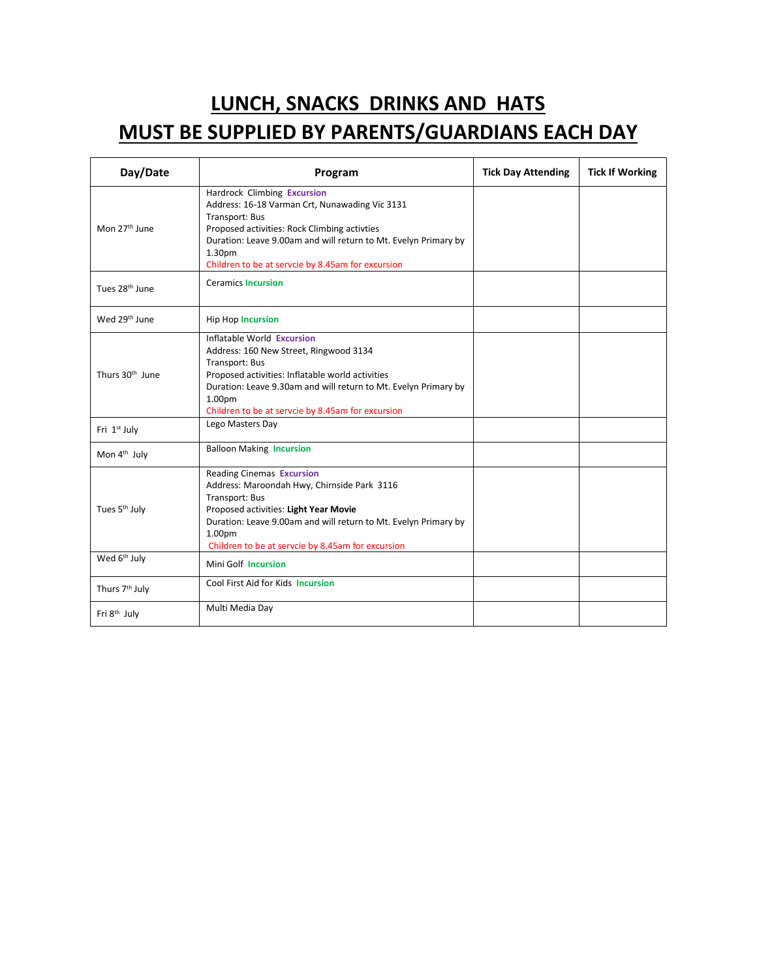# **LUNCH, SNACKS DRINKS AND HATS MUST BE SUPPLIED BY PARENTS/GUARDIANS EACH DAY**

| Day/Date                    | Program                                                                                                                                                                                                                                                                           | <b>Tick Day Attending</b> | <b>Tick If Working</b> |
|-----------------------------|-----------------------------------------------------------------------------------------------------------------------------------------------------------------------------------------------------------------------------------------------------------------------------------|---------------------------|------------------------|
| Mon 27 <sup>th</sup> June   | Hardrock Climbing Excursion<br>Address: 16-18 Varman Crt, Nunawading Vic 3131<br>Transport: Bus<br>Proposed activities: Rock Climbing activties<br>Duration: Leave 9.00am and will return to Mt. Evelyn Primary by<br>1.30pm<br>Children to be at servcie by 8.45am for excursion |                           |                        |
| Tues 28 <sup>th</sup> June  | <b>Ceramics Incursion</b>                                                                                                                                                                                                                                                         |                           |                        |
| Wed 29th June               | <b>Hip Hop Incursion</b>                                                                                                                                                                                                                                                          |                           |                        |
| Thurs 30 <sup>th</sup> June | Inflatable World Excursion<br>Address: 160 New Street, Ringwood 3134<br>Transport: Bus<br>Proposed activities: Inflatable world activities<br>Duration: Leave 9.30am and will return to Mt. Evelyn Primary by<br>1.00pm<br>Children to be at servcie by 8.45am for excursion      |                           |                        |
| Fri 1st July                | Lego Masters Day                                                                                                                                                                                                                                                                  |                           |                        |
| Mon 4 <sup>th</sup> July    | <b>Balloon Making Incursion</b>                                                                                                                                                                                                                                                   |                           |                        |
| Tues 5 <sup>th</sup> July   | <b>Reading Cinemas Excursion</b><br>Address: Maroondah Hwy, Chirnside Park 3116<br>Transport: Bus<br>Proposed activities: Light Year Movie<br>Duration: Leave 9.00am and will return to Mt. Evelyn Primary by<br>1.00pm<br>Children to be at servcie by 8.45am for excursion      |                           |                        |
| Wed 6 <sup>th</sup> July    | Mini Golf Incursion                                                                                                                                                                                                                                                               |                           |                        |
| Thurs 7 <sup>th</sup> July  | Cool First Aid for Kids Incursion                                                                                                                                                                                                                                                 |                           |                        |
| Fri 8 <sup>th</sup> July    | Multi Media Day                                                                                                                                                                                                                                                                   |                           |                        |